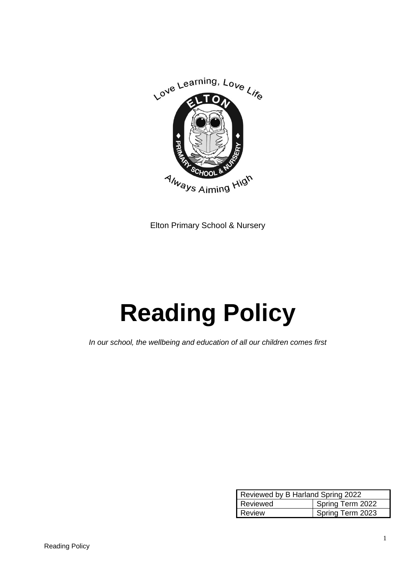

Elton Primary School & Nursery

# **Reading Policy**

*In our school, the wellbeing and education of all our children comes first*

| Reviewed by B Harland Spring 2022 |                  |
|-----------------------------------|------------------|
| Reviewed                          | Spring Term 2022 |
| Review                            | Spring Term 2023 |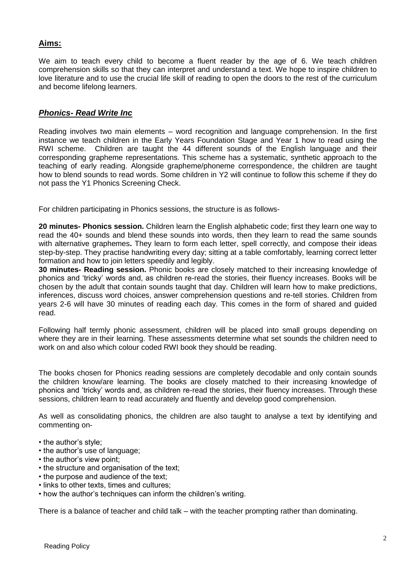## **Aims:**

We aim to teach every child to become a fluent reader by the age of 6. We teach children comprehension skills so that they can interpret and understand a text. We hope to inspire children to love literature and to use the crucial life skill of reading to open the doors to the rest of the curriculum and become lifelong learners.

#### *Phonics- Read Write Inc*

Reading involves two main elements – word recognition and language comprehension. In the first instance we teach children in the Early Years Foundation Stage and Year 1 how to read using the RWI scheme. Children are taught the 44 different sounds of the English language and their corresponding grapheme representations. This scheme has a systematic, synthetic approach to the teaching of early reading. Alongside grapheme/phoneme correspondence, the children are taught how to blend sounds to read words. Some children in Y2 will continue to follow this scheme if they do not pass the Y1 Phonics Screening Check.

For children participating in Phonics sessions, the structure is as follows-

**20 minutes- Phonics session.** Children learn the English alphabetic code; first they learn one way to read the 40+ sounds and blend these sounds into words, then they learn to read the same sounds with alternative graphemes**.** They learn to form each letter, spell correctly, and compose their ideas step-by-step. They practise handwriting every day; sitting at a table comfortably, learning correct letter formation and how to join letters speedily and legibly.

**30 minutes- Reading session.** Phonic books are closely matched to their increasing knowledge of phonics and 'tricky' words and, as children re-read the stories, their fluency increases. Books will be chosen by the adult that contain sounds taught that day. Children will learn how to make predictions, inferences, discuss word choices, answer comprehension questions and re-tell stories. Children from years 2-6 will have 30 minutes of reading each day. This comes in the form of shared and guided read.

Following half termly phonic assessment, children will be placed into small groups depending on where they are in their learning. These assessments determine what set sounds the children need to work on and also which colour coded RWI book they should be reading.

The books chosen for Phonics reading sessions are completely decodable and only contain sounds the children know/are learning. The books are closely matched to their increasing knowledge of phonics and 'tricky' words and, as children re-read the stories, their fluency increases. Through these sessions, children learn to read accurately and fluently and develop good comprehension.

As well as consolidating phonics, the children are also taught to analyse a text by identifying and commenting on-

- the author's style;
- the author's use of language;
- the author's view point;
- the structure and organisation of the text;
- the purpose and audience of the text;
- links to other texts, times and cultures;
- how the author's techniques can inform the children's writing.

There is a balance of teacher and child talk – with the teacher prompting rather than dominating.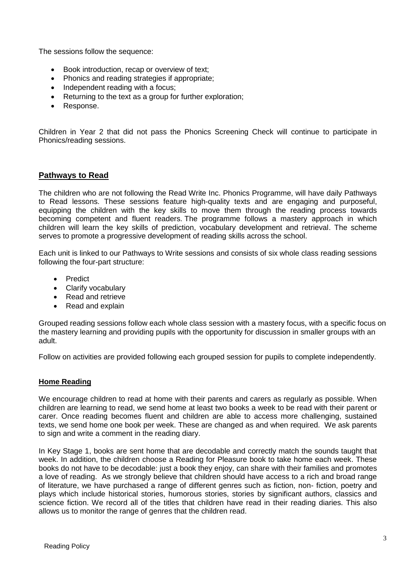The sessions follow the sequence:

- Book introduction, recap or overview of text;
- Phonics and reading strategies if appropriate;
- Independent reading with a focus:
- Returning to the text as a group for further exploration;
- Response.

Children in Year 2 that did not pass the Phonics Screening Check will continue to participate in Phonics/reading sessions.

## **Pathways to Read**

The children who are not following the Read Write Inc. Phonics Programme, will have daily Pathways to Read lessons. These sessions feature high-quality texts and are engaging and purposeful, equipping the children with the key skills to move them through the reading process towards becoming competent and fluent readers. The programme follows a mastery approach in which children will learn the key skills of prediction, vocabulary development and retrieval. The scheme serves to promote a progressive development of reading skills across the school.

Each unit is linked to our Pathways to Write sessions and consists of six whole class reading sessions following the four-part structure:

- Predict
- Clarify vocabulary
- Read and retrieve
- Read and explain

Grouped reading sessions follow each whole class session with a mastery focus, with a specific focus on the mastery learning and providing pupils with the opportunity for discussion in smaller groups with an adult.

Follow on activities are provided following each grouped session for pupils to complete independently.

#### **Home Reading**

We encourage children to read at home with their parents and carers as regularly as possible. When children are learning to read, we send home at least two books a week to be read with their parent or carer. Once reading becomes fluent and children are able to access more challenging, sustained texts, we send home one book per week. These are changed as and when required. We ask parents to sign and write a comment in the reading diary.

In Key Stage 1, books are sent home that are decodable and correctly match the sounds taught that week. In addition, the children choose a Reading for Pleasure book to take home each week. These books do not have to be decodable: just a book they enjoy, can share with their families and promotes a love of reading. As we strongly believe that children should have access to a rich and broad range of literature, we have purchased a range of different genres such as fiction, non- fiction, poetry and plays which include historical stories, humorous stories, stories by significant authors, classics and science fiction. We record all of the titles that children have read in their reading diaries. This also allows us to monitor the range of genres that the children read.